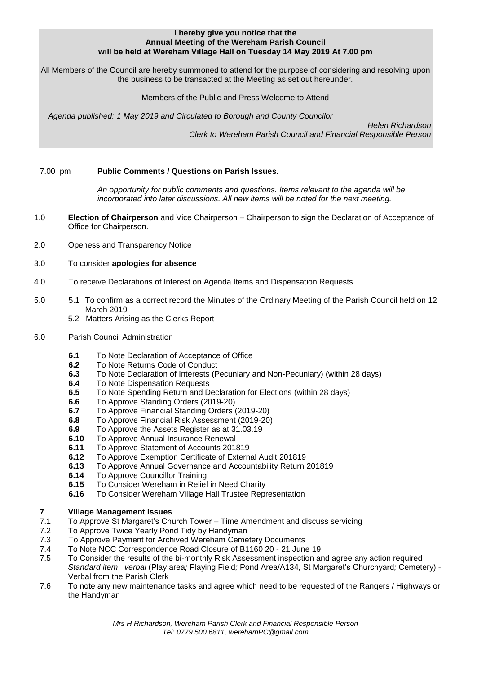#### **I hereby give you notice that the Annual Meeting of the Wereham Parish Council will be held at Wereham Village Hall on Tuesday 14 May 2019 At 7.00 pm**

All Members of the Council are hereby summoned to attend for the purpose of considering and resolving upon the business to be transacted at the Meeting as set out hereunder.

Members of the Public and Press Welcome to Attend

*Agenda published: 1 May 2019 and Circulated to Borough and County Councilor* 

 *Helen Richardson Clerk to Wereham Parish Council and Financial Responsible Person*

## 7.00 pm **Public Comments / Questions on Parish Issues.**

*An opportunity for public comments and questions. Items relevant to the agenda will be incorporated into later discussions. All new items will be noted for the next meeting.*

- 1.0 **Election of Chairperson** and Vice Chairperson Chairperson to sign the Declaration of Acceptance of Office for Chairperson.
- 2.0 Openess and Transparency Notice
- 3.0 To consider **apologies for absence**
- 4.0 To receive Declarations of Interest on Agenda Items and Dispensation Requests.
- 5.0 5.1 To confirm as a correct record the Minutes of the Ordinary Meeting of the Parish Council held on 12 March 2019
	- 5.2 Matters Arising as the Clerks Report
- 6.0 Parish Council Administration
	- **6.1** To Note Declaration of Acceptance of Office
	- **6.2** To Note Returns Code of Conduct
	- **6.3** To Note Declaration of Interests (Pecuniary and Non-Pecuniary) (within 28 days)
	- **6.4** To Note Dispensation Requests
	- **6.5** To Note Spending Return and Declaration for Elections (within 28 days)
	- **6.6** To Approve Standing Orders (2019-20)
	- **6.7** To Approve Financial Standing Orders (2019-20)
	- **6.8** To Approve Financial Risk Assessment (2019-20)
	- **6.9** To Approve the Assets Register as at 31.03.19
	- **6.10** To Approve Annual Insurance Renewal
	- **6.11** To Approve Statement of Accounts 201819
	- **6.12** To Approve Exemption Certificate of External Audit 201819
	- **6.13** To Approve Annual Governance and Accountability Return 201819
	- **6.14** To Approve Councillor Training
	- **6.15** To Consider Wereham in Relief in Need Charity
	- **6.16** To Consider Wereham Village Hall Trustee Representation

# **7 Village Management Issues**

- 7.1 To Approve St Margaret's Church Tower Time Amendment and discuss servicing
- 7.2 To Approve Twice Yearly Pond Tidy by Handyman
- 7.3 To Approve Payment for Archived Wereham Cemetery Documents
- 7.4 To Note NCC Correspondence Road Closure of B1160 20 21 June 19
- 7.5 To Consider the results of the bi-monthly Risk Assessment inspection and agree any action required *Standard item verbal* (Play area*;* Playing Field*;* Pond Area/A134*;* St Margaret's Churchyard*;* Cemetery) - Verbal from the Parish Clerk
- 7.6 To note any new maintenance tasks and agree which need to be requested of the Rangers / Highways or the Handyman